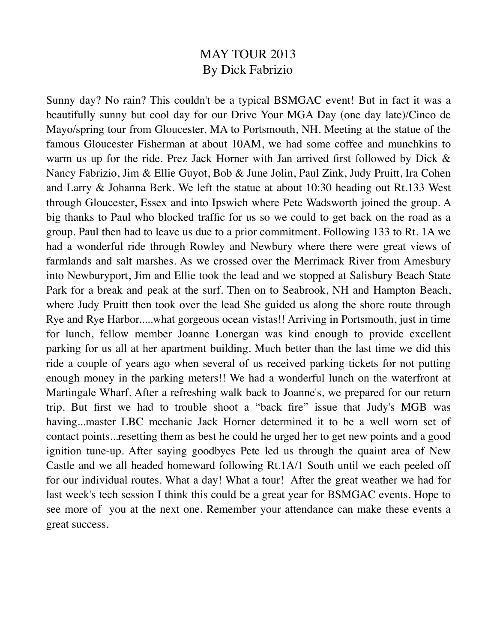## MAY TOUR 2013 By Dick Fabrizio

Sunny day? No rain? This couldn't be a typical BSMGAC event! But in fact it was a beautifully sunny but cool day for our Drive Your MGA Day (one day late)/Cinco de Mayo/spring tour from Gloucester, MA to Portsmouth, NH. Meeting at the statue of the famous Gloucester Fisherman at about 10AM, we had some coffee and munchkins to warm us up for the ride. Prez Jack Horner with Jan arrived first followed by Dick & Nancy Fabrizio, Jim & Ellie Guyot, Bob & June Jolin, Paul Zink, Judy Pruitt, Ira Cohen and Larry & Johanna Berk. We left the statue at about 10:30 heading out Rt.133 West through Gloucester, Essex and into Ipswich where Pete Wadsworth joined the group. A big thanks to Paul who blocked traffic for us so we could to get back on the road as a group. Paul then had to leave us due to a prior commitment. Following 133 to Rt. 1A we had a wonderful ride through Rowley and Newbury where there were great views of farmlands and salt marshes. As we crossed over the Merrimack River from Amesbury into Newburyport, Jim and Ellie took the lead and we stopped at Salisbury Beach State Park for a break and peak at the surf. Then on to Seabrook, NH and Hampton Beach, where Judy Pruitt then took over the lead She guided us along the shore route through Rye and Rye Harbor.....what gorgeous ocean vistas!! Arriving in Portsmouth, just in time for lunch, fellow member Joanne Lonergan was kind enough to provide excellent parking for us all at her apartment building. Much better than the last time we did this ride a couple of years ago when several of us received parking tickets for not putting enough money in the parking meters!! We had a wonderful lunch on the waterfront at Martingale Wharf. After a refreshing walk back to Joanne's, we prepared for our return trip. But first we had to trouble shoot a "back fire" issue that Judy's MGB was having...master LBC mechanic Jack Horner determined it to be a well worn set of contact points...resetting them as best he could he urged her to get new points and a good ignition tune-up. After saying goodbyes Pete led us through the quaint area of New Castle and we all headed homeward following Rt.1A/1 South until we each peeled off for our individual routes. What a day! What a tour! After the great weather we had for last week's tech session I think this could be a great year for BSMGAC events. Hope to see more of you at the next one. Remember your attendance can make these events a great success.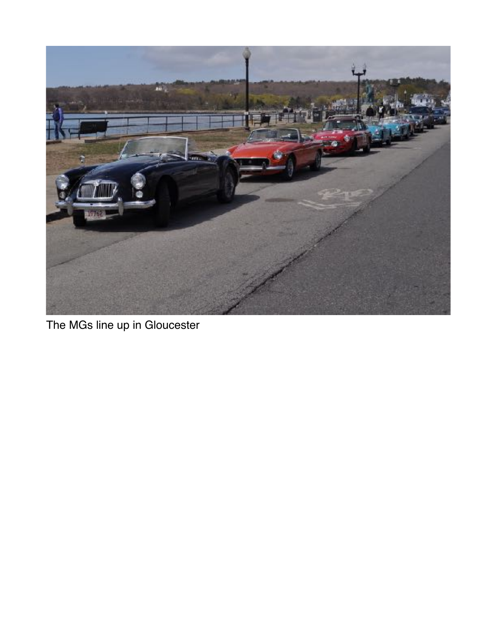

The MGs line up in Gloucester